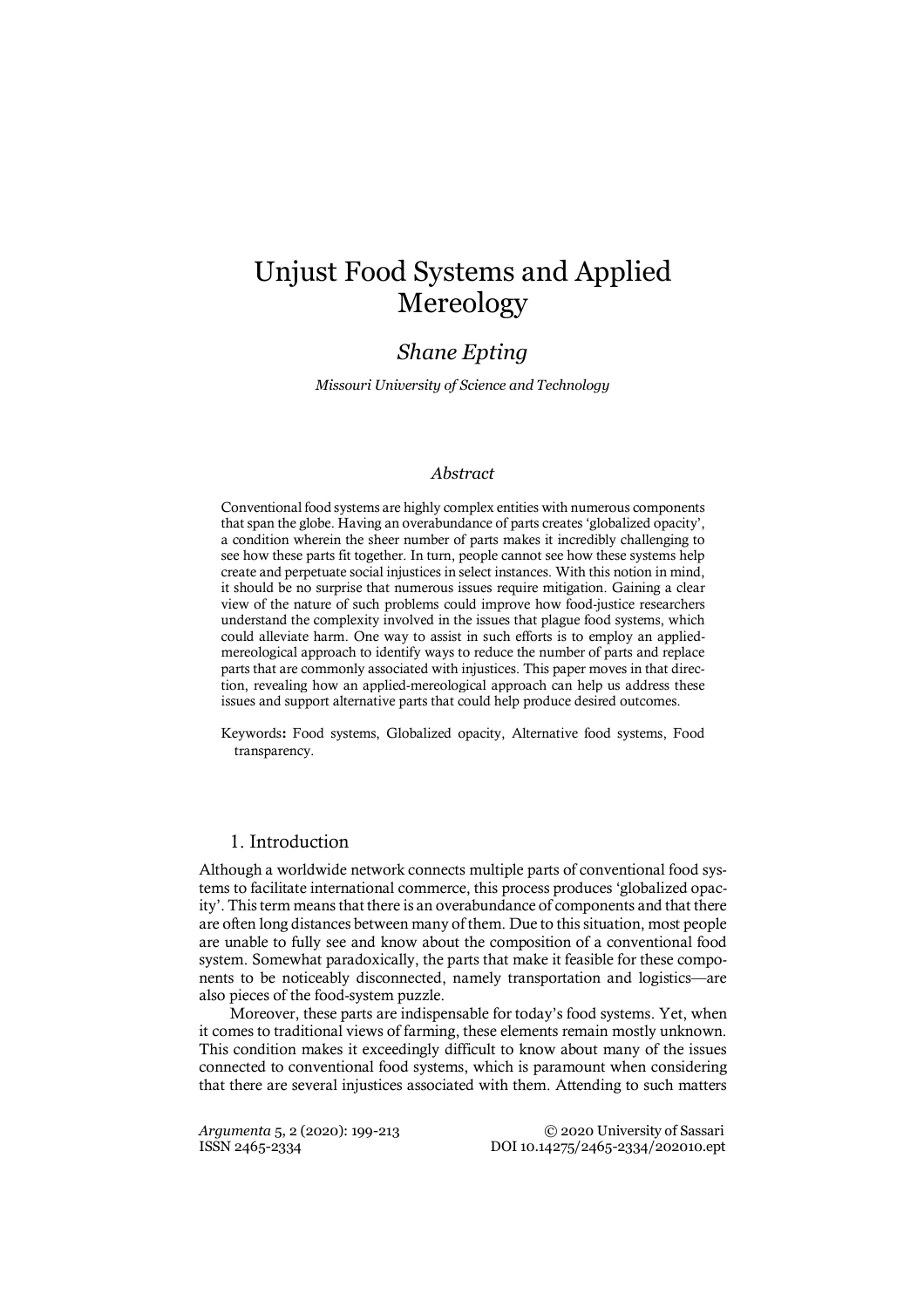# Unjust Food Systems and Applied Mereology

# *Shane Epting*

*Missouri University of Science and Technology*

#### *Abstract*

Conventional food systems are highly complex entities with numerous components that span the globe. Having an overabundance of parts creates 'globalized opacity', a condition wherein the sheer number of parts makes it incredibly challenging to see how these parts fit together. In turn, people cannot see how these systems help create and perpetuate social injustices in select instances. With this notion in mind, it should be no surprise that numerous issues require mitigation. Gaining a clear view of the nature of such problems could improve how food-justice researchers understand the complexity involved in the issues that plague food systems, which could alleviate harm. One way to assist in such efforts is to employ an appliedmereological approach to identify ways to reduce the number of parts and replace parts that are commonly associated with injustices. This paper moves in that direction, revealing how an applied-mereological approach can help us address these issues and support alternative parts that could help produce desired outcomes.

Keywords: Food systems, Globalized opacity, Alternative food systems, Food transparency.

#### 1. Introduction

Although a worldwide network connects multiple parts of conventional food systems to facilitate international commerce, this process produces 'globalized opacity'. This term means that there is an overabundance of components and that there are often long distances between many of them. Due to this situation, most people are unable to fully see and know about the composition of a conventional food system. Somewhat paradoxically, the parts that make it feasible for these components to be noticeably disconnected, namely transportation and logistics—are also pieces of the food-system puzzle.

Moreover, these parts are indispensable for today's food systems. Yet, when it comes to traditional views of farming, these elements remain mostly unknown. This condition makes it exceedingly difficult to know about many of the issues connected to conventional food systems, which is paramount when considering that there are several injustices associated with them. Attending to such matters

*Argumenta* 5, 2 (2020): 199-213 © 2020 University of Sassari ISSN 2465-2334 DOI 10.14275/2465-2334/202010.ept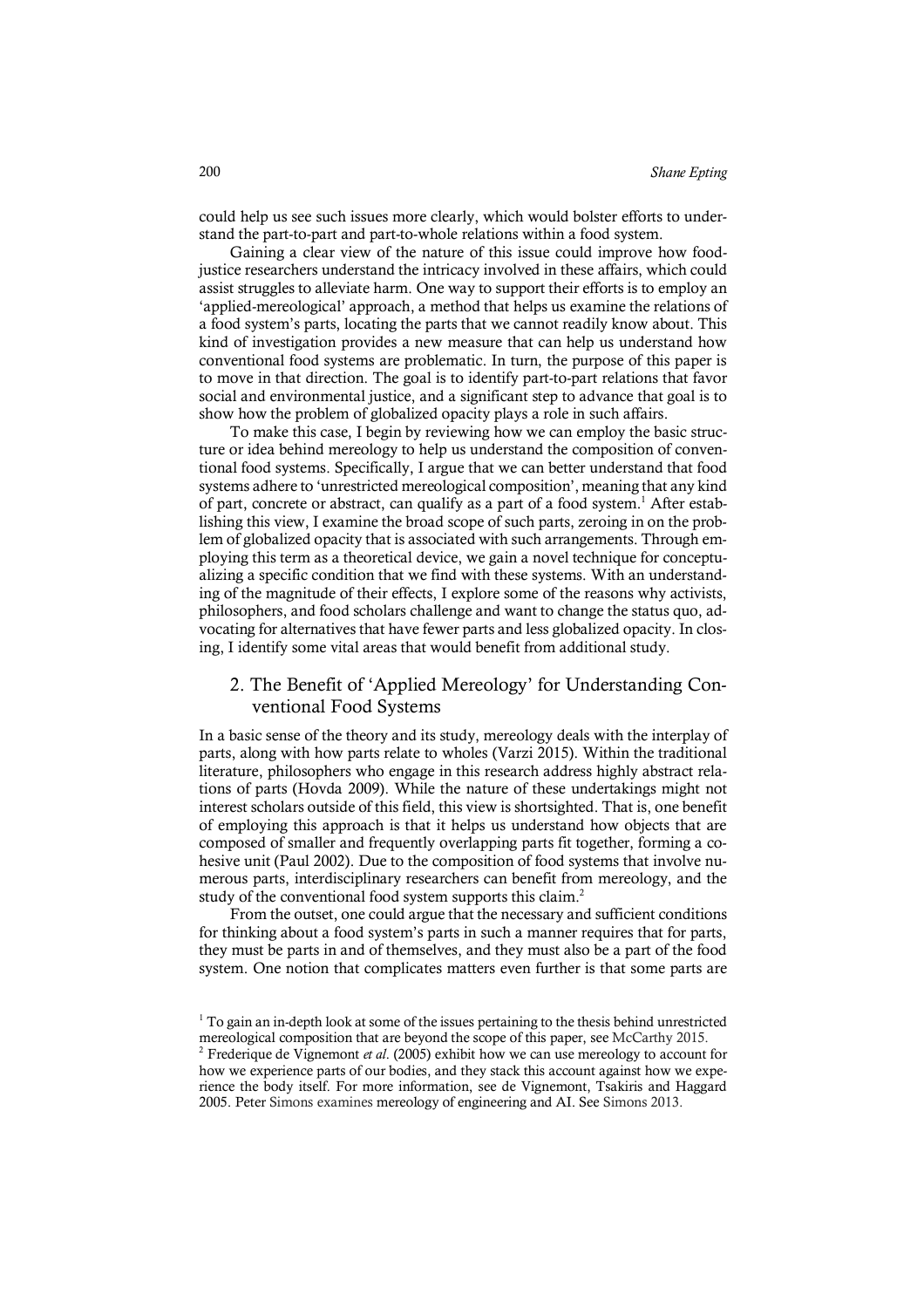could help us see such issues more clearly, which would bolster efforts to understand the part-to-part and part-to-whole relations within a food system.

Gaining a clear view of the nature of this issue could improve how foodjustice researchers understand the intricacy involved in these affairs, which could assist struggles to alleviate harm. One way to support their efforts is to employ an 'applied-mereological' approach, a method that helps us examine the relations of a food system's parts, locating the parts that we cannot readily know about. This kind of investigation provides a new measure that can help us understand how conventional food systems are problematic. In turn, the purpose of this paper is to move in that direction. The goal is to identify part-to-part relations that favor social and environmental justice, and a significant step to advance that goal is to show how the problem of globalized opacity plays a role in such affairs.

To make this case, I begin by reviewing how we can employ the basic structure or idea behind mereology to help us understand the composition of conventional food systems. Specifically, I argue that we can better understand that food systems adhere to 'unrestricted mereological composition', meaning that any kind of part, concrete or abstract, can qualify as a part of a food system.1 After establishing this view, I examine the broad scope of such parts, zeroing in on the problem of globalized opacity that is associated with such arrangements. Through employing this term as a theoretical device, we gain a novel technique for conceptualizing a specific condition that we find with these systems. With an understanding of the magnitude of their effects, I explore some of the reasons why activists, philosophers, and food scholars challenge and want to change the status quo, advocating for alternatives that have fewer parts and less globalized opacity. In closing, I identify some vital areas that would benefit from additional study.

## 2. The Benefit of 'Applied Mereology' for Understanding Conventional Food Systems

In a basic sense of the theory and its study, mereology deals with the interplay of parts, along with how parts relate to wholes (Varzi 2015). Within the traditional literature, philosophers who engage in this research address highly abstract relations of parts (Hovda 2009). While the nature of these undertakings might not interest scholars outside of this field, this view is shortsighted. That is, one benefit of employing this approach is that it helps us understand how objects that are composed of smaller and frequently overlapping parts fit together, forming a cohesive unit (Paul 2002). Due to the composition of food systems that involve numerous parts, interdisciplinary researchers can benefit from mereology, and the study of the conventional food system supports this claim.<sup>2</sup>

From the outset, one could argue that the necessary and sufficient conditions for thinking about a food system's parts in such a manner requires that for parts, they must be parts in and of themselves, and they must also be a part of the food system. One notion that complicates matters even further is that some parts are

<sup>&</sup>lt;sup>1</sup> To gain an in-depth look at some of the issues pertaining to the thesis behind unrestricted mereological composition that are beyond the scope of this paper, see McCarthy 2015. 2 Frederique de Vignemont *et al*. (2005) exhibit how we can use mereology to account for

how we experience parts of our bodies, and they stack this account against how we experience the body itself. For more information, see de Vignemont, Tsakiris and Haggard 2005. Peter Simons examines mereology of engineering and AI. See Simons 2013.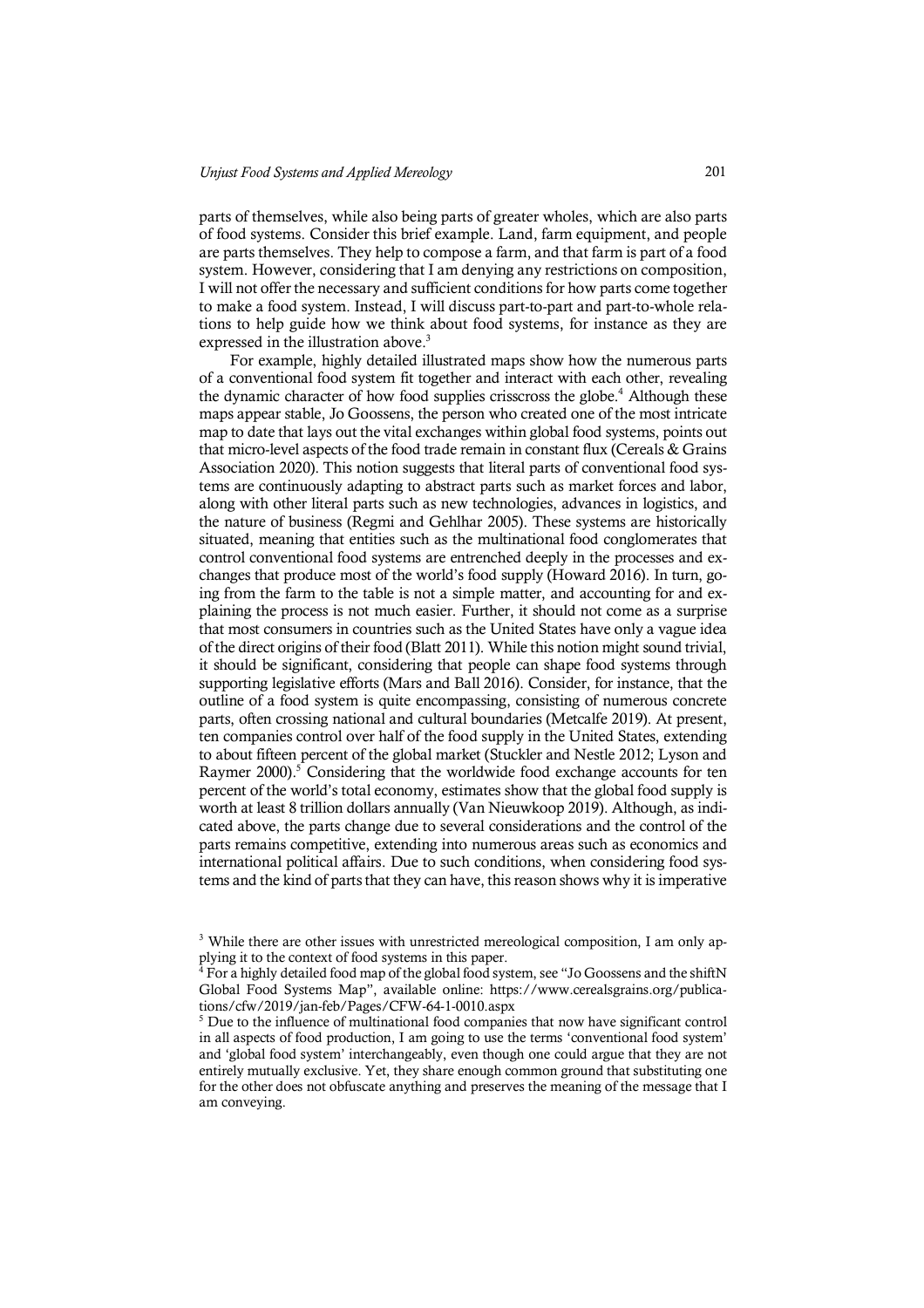parts of themselves, while also being parts of greater wholes, which are also parts of food systems. Consider this brief example. Land, farm equipment, and people are parts themselves. They help to compose a farm, and that farm is part of a food system. However, considering that I am denying any restrictions on composition, I will not offer the necessary and sufficient conditions for how parts come together to make a food system. Instead, I will discuss part-to-part and part-to-whole relations to help guide how we think about food systems, for instance as they are expressed in the illustration above.<sup>3</sup>

For example, highly detailed illustrated maps show how the numerous parts of a conventional food system fit together and interact with each other, revealing the dynamic character of how food supplies crisscross the globe.<sup>4</sup> Although these maps appear stable, Jo Goossens, the person who created one of the most intricate map to date that lays out the vital exchanges within global food systems, points out that micro-level aspects of the food trade remain in constant flux (Cereals & Grains Association 2020). This notion suggests that literal parts of conventional food systems are continuously adapting to abstract parts such as market forces and labor, along with other literal parts such as new technologies, advances in logistics, and the nature of business (Regmi and Gehlhar 2005). These systems are historically situated, meaning that entities such as the multinational food conglomerates that control conventional food systems are entrenched deeply in the processes and exchanges that produce most of the world's food supply (Howard 2016). In turn, going from the farm to the table is not a simple matter, and accounting for and explaining the process is not much easier. Further, it should not come as a surprise that most consumers in countries such as the United States have only a vague idea of the direct origins of their food (Blatt 2011). While this notion might sound trivial, it should be significant, considering that people can shape food systems through supporting legislative efforts (Mars and Ball 2016). Consider, for instance, that the outline of a food system is quite encompassing, consisting of numerous concrete parts, often crossing national and cultural boundaries (Metcalfe 2019). At present, ten companies control over half of the food supply in the United States, extending to about fifteen percent of the global market (Stuckler and Nestle 2012; Lyson and Raymer 2000).<sup>5</sup> Considering that the worldwide food exchange accounts for ten percent of the world's total economy, estimates show that the global food supply is worth at least 8 trillion dollars annually (Van Nieuwkoop 2019). Although, as indicated above, the parts change due to several considerations and the control of the parts remains competitive, extending into numerous areas such as economics and international political affairs. Due to such conditions, when considering food systems and the kind of parts that they can have, this reason shows why it is imperative

<sup>&</sup>lt;sup>3</sup> While there are other issues with unrestricted mereological composition, I am only applying it to the context of food systems in this paper.

 $4$  For a highly detailed food map of the global food system, see "Jo Goossens and the shiftN Global Food Systems Map", available online: https://www.cerealsgrains.org/publications/cfw/2019/jan-feb/Pages/CFW-64-1-0010.aspx

<sup>&</sup>lt;sup>5</sup> Due to the influence of multinational food companies that now have significant control in all aspects of food production, I am going to use the terms 'conventional food system' and 'global food system' interchangeably, even though one could argue that they are not entirely mutually exclusive. Yet, they share enough common ground that substituting one for the other does not obfuscate anything and preserves the meaning of the message that I am conveying.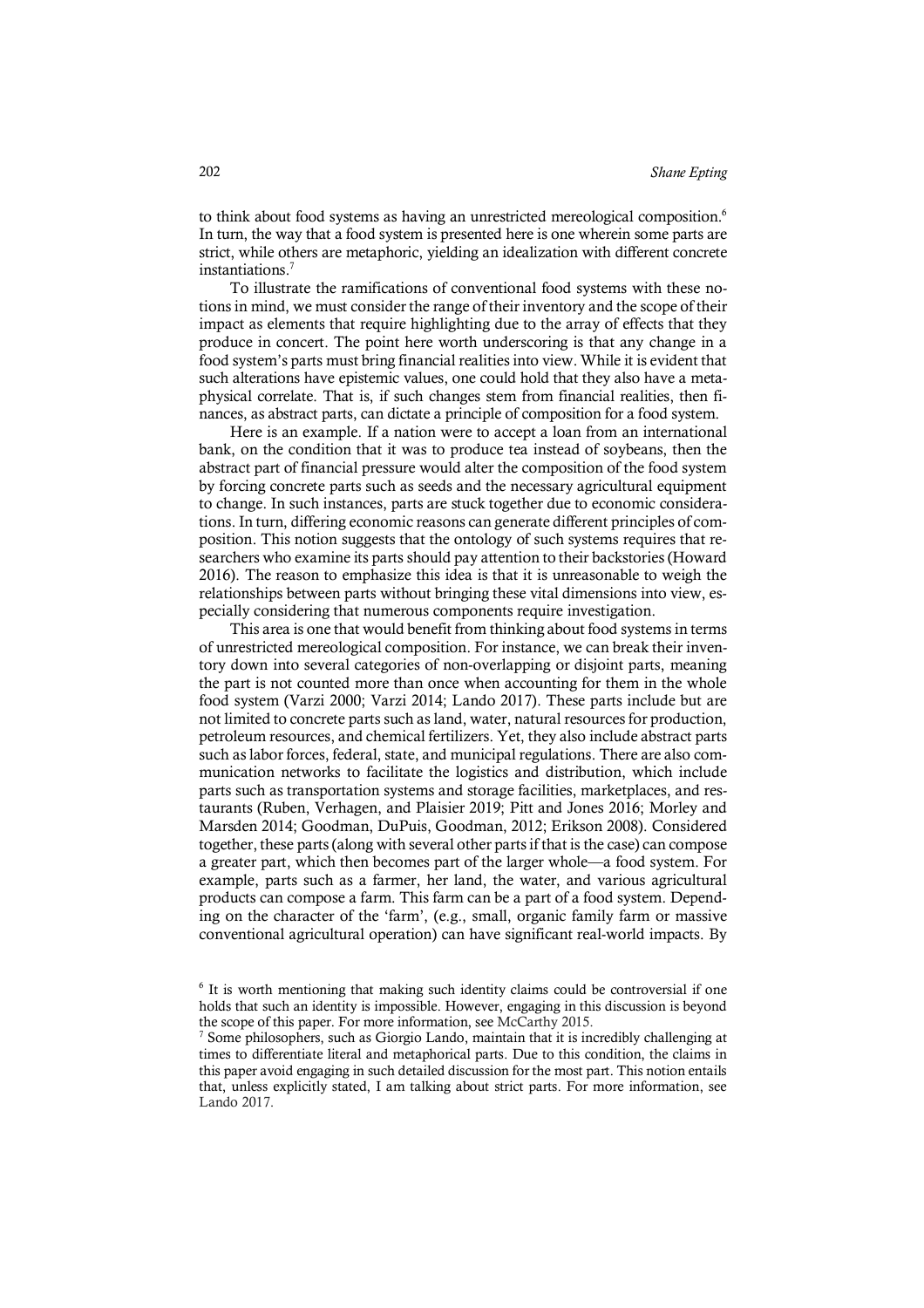to think about food systems as having an unrestricted mereological composition.<sup>6</sup> In turn, the way that a food system is presented here is one wherein some parts are strict, while others are metaphoric, yielding an idealization with different concrete instantiations.7

To illustrate the ramifications of conventional food systems with these notions in mind, we must consider the range of their inventory and the scope of their impact as elements that require highlighting due to the array of effects that they produce in concert. The point here worth underscoring is that any change in a food system's parts must bring financial realities into view. While it is evident that such alterations have epistemic values, one could hold that they also have a metaphysical correlate. That is, if such changes stem from financial realities, then finances, as abstract parts, can dictate a principle of composition for a food system.

Here is an example. If a nation were to accept a loan from an international bank, on the condition that it was to produce tea instead of soybeans, then the abstract part of financial pressure would alter the composition of the food system by forcing concrete parts such as seeds and the necessary agricultural equipment to change. In such instances, parts are stuck together due to economic considerations. In turn, differing economic reasons can generate different principles of composition. This notion suggests that the ontology of such systems requires that researchers who examine its parts should pay attention to their backstories (Howard 2016). The reason to emphasize this idea is that it is unreasonable to weigh the relationships between parts without bringing these vital dimensions into view, especially considering that numerous components require investigation.

This area is one that would benefit from thinking about food systems in terms of unrestricted mereological composition. For instance, we can break their inventory down into several categories of non-overlapping or disjoint parts, meaning the part is not counted more than once when accounting for them in the whole food system (Varzi 2000; Varzi 2014; Lando 2017). These parts include but are not limited to concrete parts such as land, water, natural resources for production, petroleum resources, and chemical fertilizers. Yet, they also include abstract parts such as labor forces, federal, state, and municipal regulations. There are also communication networks to facilitate the logistics and distribution, which include parts such as transportation systems and storage facilities, marketplaces, and restaurants (Ruben, Verhagen, and Plaisier 2019; Pitt and Jones 2016; Morley and Marsden 2014; Goodman, DuPuis, Goodman, 2012; Erikson 2008). Considered together, these parts (along with several other parts if that is the case) can compose a greater part, which then becomes part of the larger whole—a food system. For example, parts such as a farmer, her land, the water, and various agricultural products can compose a farm. This farm can be a part of a food system. Depending on the character of the 'farm', (e.g., small, organic family farm or massive conventional agricultural operation) can have significant real-world impacts. By

<sup>6</sup> It is worth mentioning that making such identity claims could be controversial if one holds that such an identity is impossible. However, engaging in this discussion is beyond the scope of this paper. For more information, see McCarthy 2015.

 $7$  Some philosophers, such as Giorgio Lando, maintain that it is incredibly challenging at times to differentiate literal and metaphorical parts. Due to this condition, the claims in this paper avoid engaging in such detailed discussion for the most part. This notion entails that, unless explicitly stated, I am talking about strict parts. For more information, see Lando 2017.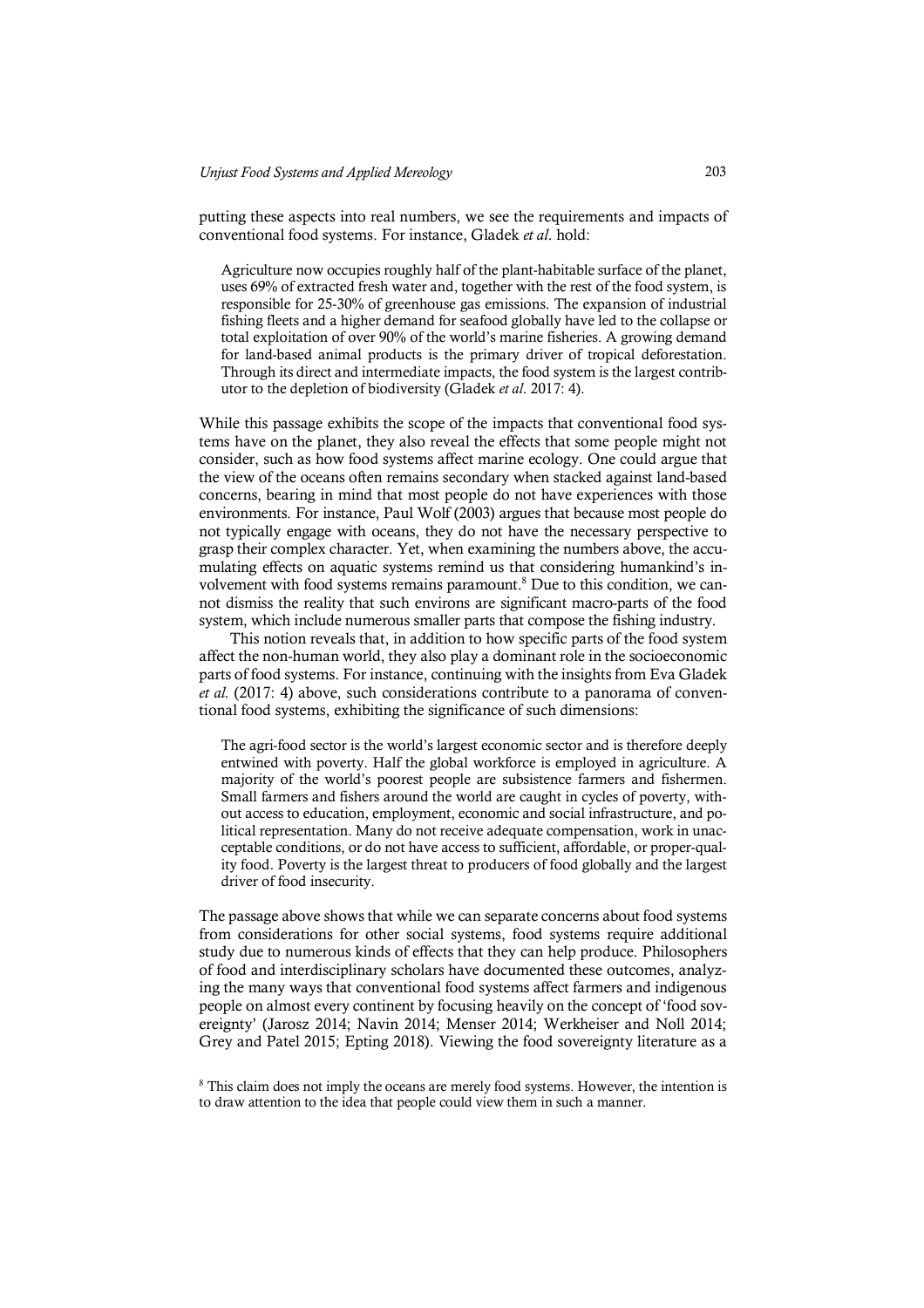putting these aspects into real numbers, we see the requirements and impacts of conventional food systems. For instance, Gladek *et al*. hold:

Agriculture now occupies roughly half of the plant-habitable surface of the planet, uses 69% of extracted fresh water and, together with the rest of the food system, is responsible for 25-30% of greenhouse gas emissions. The expansion of industrial fishing fleets and a higher demand for seafood globally have led to the collapse or total exploitation of over 90% of the world's marine fisheries. A growing demand for land-based animal products is the primary driver of tropical deforestation. Through its direct and intermediate impacts, the food system is the largest contributor to the depletion of biodiversity (Gladek *et al*. 2017: 4).

While this passage exhibits the scope of the impacts that conventional food systems have on the planet, they also reveal the effects that some people might not consider, such as how food systems affect marine ecology. One could argue that the view of the oceans often remains secondary when stacked against land-based concerns, bearing in mind that most people do not have experiences with those environments. For instance, Paul Wolf (2003) argues that because most people do not typically engage with oceans, they do not have the necessary perspective to grasp their complex character. Yet, when examining the numbers above, the accumulating effects on aquatic systems remind us that considering humankind's involvement with food systems remains paramount.<sup>8</sup> Due to this condition, we cannot dismiss the reality that such environs are significant macro-parts of the food system, which include numerous smaller parts that compose the fishing industry.

This notion reveals that, in addition to how specific parts of the food system affect the non-human world, they also play a dominant role in the socioeconomic parts of food systems. For instance, continuing with the insights from Eva Gladek *et al.* (2017: 4) above, such considerations contribute to a panorama of conventional food systems, exhibiting the significance of such dimensions:

The agri-food sector is the world's largest economic sector and is therefore deeply entwined with poverty. Half the global workforce is employed in agriculture. A majority of the world's poorest people are subsistence farmers and fishermen. Small farmers and fishers around the world are caught in cycles of poverty, without access to education, employment, economic and social infrastructure, and political representation. Many do not receive adequate compensation, work in unacceptable conditions, or do not have access to sufficient, affordable, or proper-quality food. Poverty is the largest threat to producers of food globally and the largest driver of food insecurity.

The passage above shows that while we can separate concerns about food systems from considerations for other social systems, food systems require additional study due to numerous kinds of effects that they can help produce. Philosophers of food and interdisciplinary scholars have documented these outcomes, analyzing the many ways that conventional food systems affect farmers and indigenous people on almost every continent by focusing heavily on the concept of 'food sovereignty' (Jarosz 2014; Navin 2014; Menser 2014; Werkheiser and Noll 2014; Grey and Patel 2015; Epting 2018). Viewing the food sovereignty literature as a

<sup>&</sup>lt;sup>8</sup> This claim does not imply the oceans are merely food systems. However, the intention is to draw attention to the idea that people could view them in such a manner.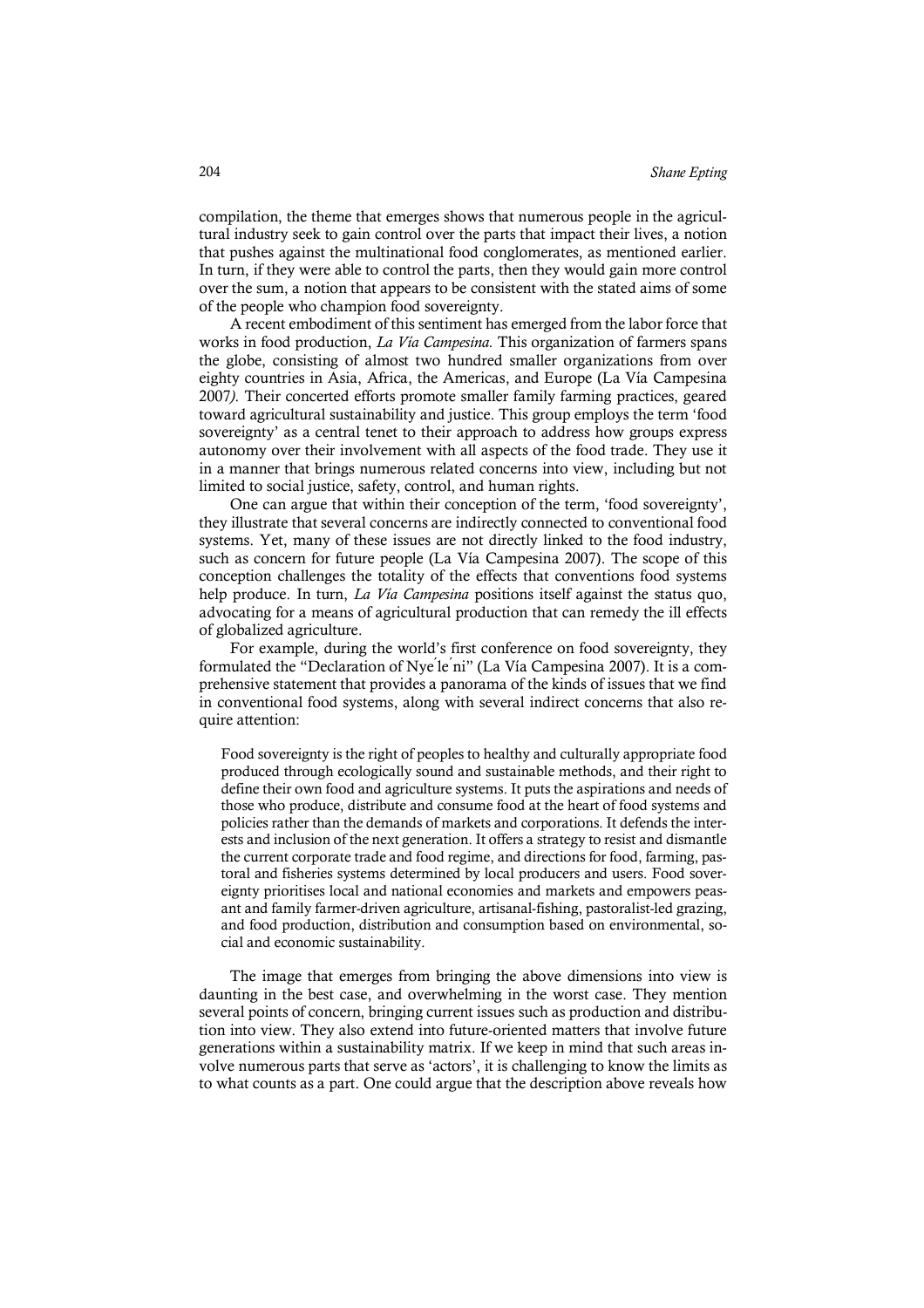compilation, the theme that emerges shows that numerous people in the agricultural industry seek to gain control over the parts that impact their lives, a notion that pushes against the multinational food conglomerates, as mentioned earlier. In turn, if they were able to control the parts, then they would gain more control over the sum, a notion that appears to be consistent with the stated aims of some of the people who champion food sovereignty.

A recent embodiment of this sentiment has emerged from the labor force that works in food production, *La Vía Campesina.* This organization of farmers spans the globe, consisting of almost two hundred smaller organizations from over eighty countries in Asia, Africa, the Americas, and Europe (La Vía Campesina 2007*)*. Their concerted efforts promote smaller family farming practices, geared toward agricultural sustainability and justice. This group employs the term 'food sovereignty' as a central tenet to their approach to address how groups express autonomy over their involvement with all aspects of the food trade. They use it in a manner that brings numerous related concerns into view, including but not limited to social justice, safety, control, and human rights.

One can argue that within their conception of the term, 'food sovereignty', they illustrate that several concerns are indirectly connected to conventional food systems. Yet, many of these issues are not directly linked to the food industry, such as concern for future people (La Vía Campesina 2007). The scope of this conception challenges the totality of the effects that conventions food systems help produce. In turn, *La Vía Campesina* positions itself against the status quo, advocating for a means of agricultural production that can remedy the ill effects of globalized agriculture.

For example, during the world's first conference on food sovereignty, they formulated the "Declaration of Nye le ni" (La Vía Campesina 2007). It is a comprehensive statement that provides a panorama of the kinds of issues that we find in conventional food systems, along with several indirect concerns that also require attention:

Food sovereignty is the right of peoples to healthy and culturally appropriate food produced through ecologically sound and sustainable methods, and their right to define their own food and agriculture systems. It puts the aspirations and needs of those who produce, distribute and consume food at the heart of food systems and policies rather than the demands of markets and corporations. It defends the interests and inclusion of the next generation. It offers a strategy to resist and dismantle the current corporate trade and food regime, and directions for food, farming, pastoral and fisheries systems determined by local producers and users. Food sovereignty prioritises local and national economies and markets and empowers peasant and family farmer-driven agriculture, artisanal-fishing, pastoralist-led grazing, and food production, distribution and consumption based on environmental, social and economic sustainability.

The image that emerges from bringing the above dimensions into view is daunting in the best case, and overwhelming in the worst case. They mention several points of concern, bringing current issues such as production and distribution into view. They also extend into future-oriented matters that involve future generations within a sustainability matrix. If we keep in mind that such areas involve numerous parts that serve as 'actors', it is challenging to know the limits as to what counts as a part. One could argue that the description above reveals how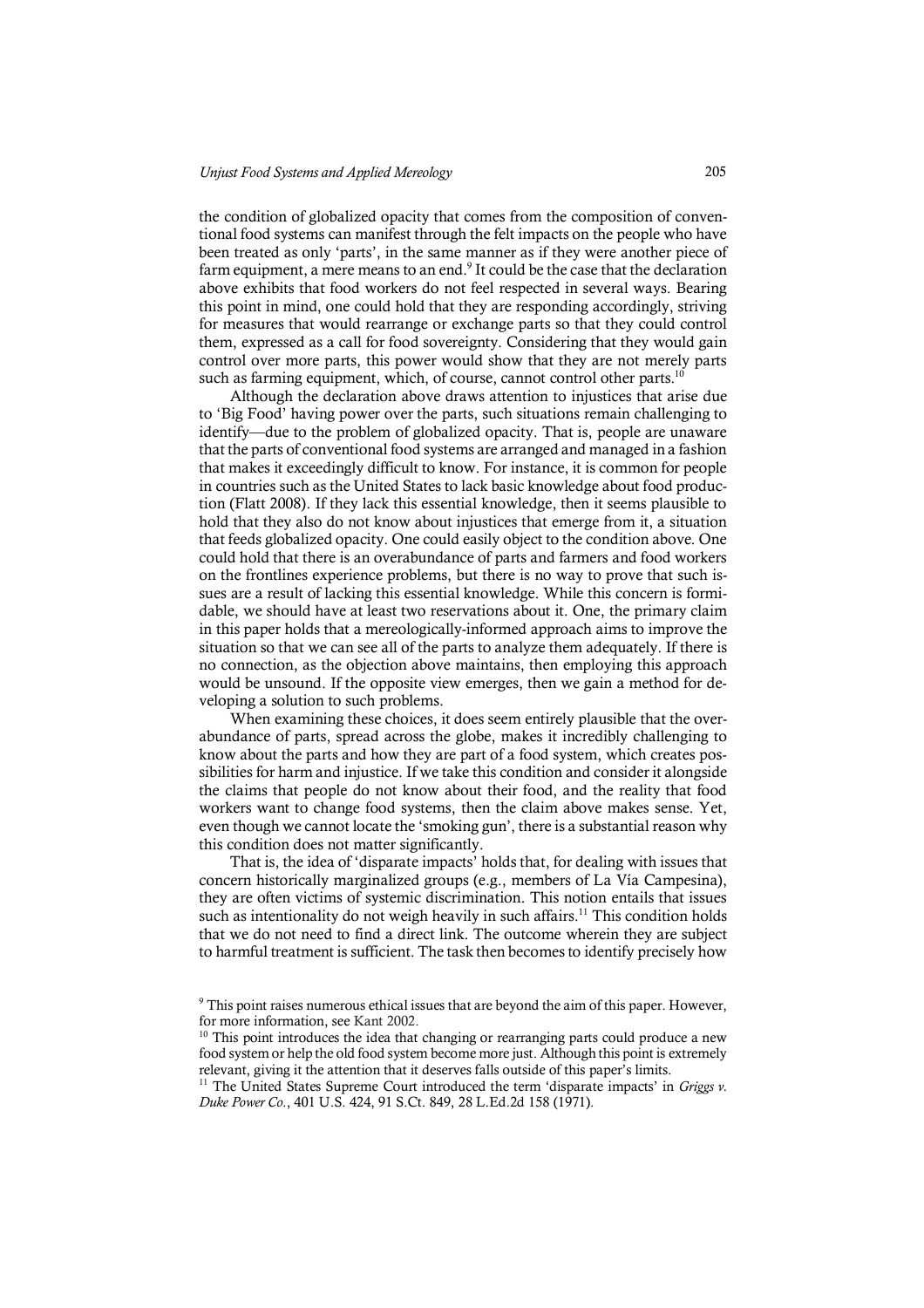the condition of globalized opacity that comes from the composition of conventional food systems can manifest through the felt impacts on the people who have been treated as only 'parts', in the same manner as if they were another piece of farm equipment, a mere means to an end.<sup>9</sup> It could be the case that the declaration above exhibits that food workers do not feel respected in several ways. Bearing this point in mind, one could hold that they are responding accordingly, striving for measures that would rearrange or exchange parts so that they could control them, expressed as a call for food sovereignty. Considering that they would gain control over more parts, this power would show that they are not merely parts such as farming equipment, which, of course, cannot control other parts.<sup>10</sup>

Although the declaration above draws attention to injustices that arise due to 'Big Food' having power over the parts, such situations remain challenging to identify—due to the problem of globalized opacity. That is, people are unaware that the parts of conventional food systems are arranged and managed in a fashion that makes it exceedingly difficult to know. For instance, it is common for people in countries such as the United States to lack basic knowledge about food production (Flatt 2008). If they lack this essential knowledge, then it seems plausible to hold that they also do not know about injustices that emerge from it, a situation that feeds globalized opacity. One could easily object to the condition above. One could hold that there is an overabundance of parts and farmers and food workers on the frontlines experience problems, but there is no way to prove that such issues are a result of lacking this essential knowledge. While this concern is formidable, we should have at least two reservations about it. One, the primary claim in this paper holds that a mereologically-informed approach aims to improve the situation so that we can see all of the parts to analyze them adequately. If there is no connection, as the objection above maintains, then employing this approach would be unsound. If the opposite view emerges, then we gain a method for developing a solution to such problems.

When examining these choices, it does seem entirely plausible that the overabundance of parts, spread across the globe, makes it incredibly challenging to know about the parts and how they are part of a food system, which creates possibilities for harm and injustice. If we take this condition and consider it alongside the claims that people do not know about their food, and the reality that food workers want to change food systems, then the claim above makes sense. Yet, even though we cannot locate the 'smoking gun', there is a substantial reason why this condition does not matter significantly.

That is, the idea of 'disparate impacts' holds that, for dealing with issues that concern historically marginalized groups (e.g., members of La Vía Campesina), they are often victims of systemic discrimination. This notion entails that issues such as intentionality do not weigh heavily in such affairs.<sup>11</sup> This condition holds that we do not need to find a direct link. The outcome wherein they are subject to harmful treatment is sufficient. The task then becomes to identify precisely how

<sup>9</sup> This point raises numerous ethical issues that are beyond the aim of this paper. However, for more information, see Kant 2002.

<sup>&</sup>lt;sup>10</sup> This point introduces the idea that changing or rearranging parts could produce a new food system or help the old food system become more just. Although this point is extremely relevant, giving it the attention that it deserves falls outside of this paper's limits.

<sup>&</sup>lt;sup>11</sup> The United States Supreme Court introduced the term 'disparate impacts' in *Griggs v*. *Duke Power Co*., 401 U.S. 424, 91 S.Ct. 849, 28 L.Ed.2d 158 (1971).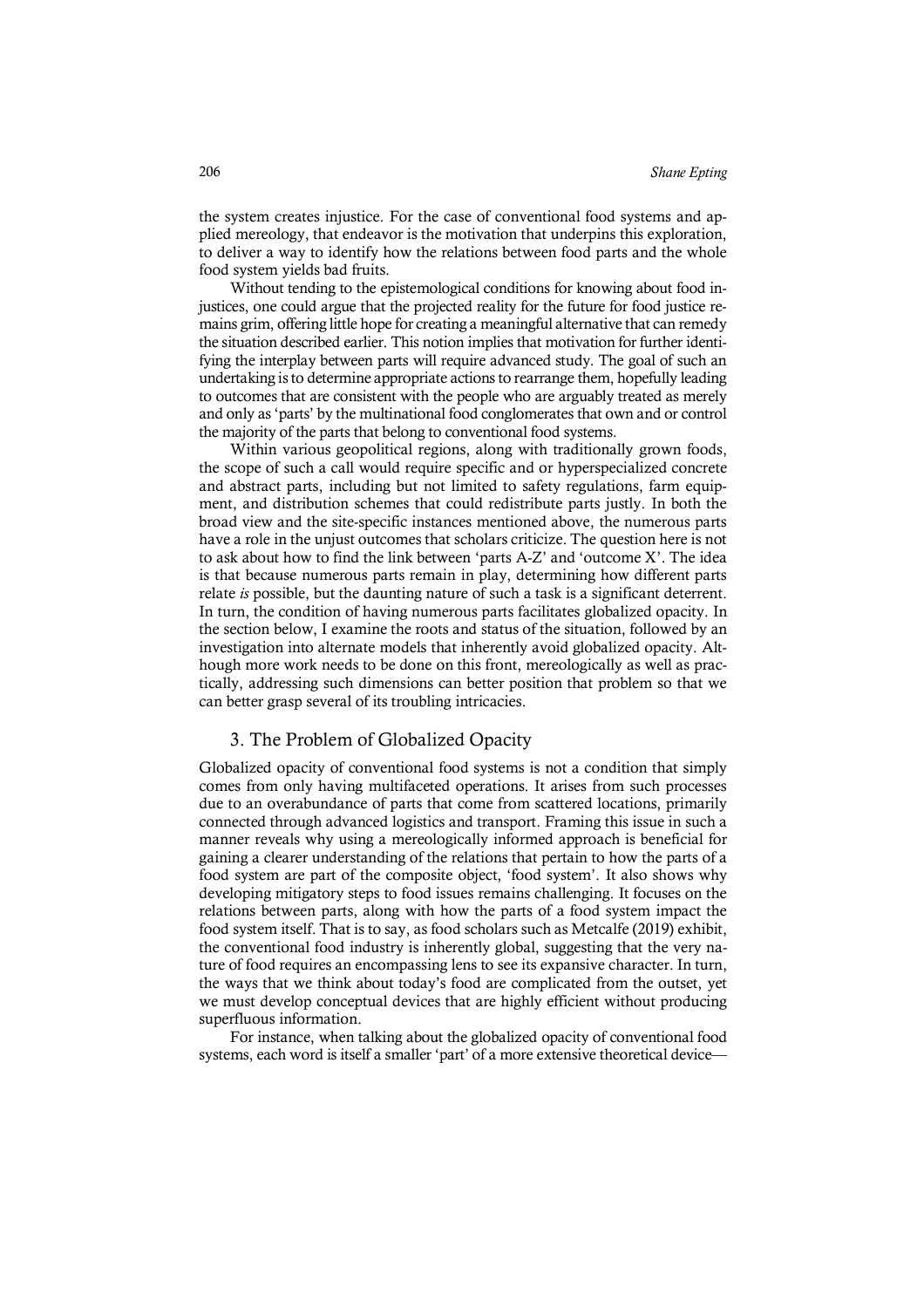the system creates injustice. For the case of conventional food systems and applied mereology, that endeavor is the motivation that underpins this exploration, to deliver a way to identify how the relations between food parts and the whole food system yields bad fruits.

Without tending to the epistemological conditions for knowing about food injustices, one could argue that the projected reality for the future for food justice remains grim, offering little hope for creating a meaningful alternative that can remedy the situation described earlier. This notion implies that motivation for further identifying the interplay between parts will require advanced study. The goal of such an undertaking is to determine appropriate actions to rearrange them, hopefully leading to outcomes that are consistent with the people who are arguably treated as merely and only as 'parts' by the multinational food conglomerates that own and or control the majority of the parts that belong to conventional food systems.

Within various geopolitical regions, along with traditionally grown foods, the scope of such a call would require specific and or hyperspecialized concrete and abstract parts, including but not limited to safety regulations, farm equipment, and distribution schemes that could redistribute parts justly. In both the broad view and the site-specific instances mentioned above, the numerous parts have a role in the unjust outcomes that scholars criticize. The question here is not to ask about how to find the link between 'parts A-Z' and 'outcome X'. The idea is that because numerous parts remain in play, determining how different parts relate *is* possible, but the daunting nature of such a task is a significant deterrent. In turn, the condition of having numerous parts facilitates globalized opacity. In the section below, I examine the roots and status of the situation, followed by an investigation into alternate models that inherently avoid globalized opacity. Although more work needs to be done on this front, mereologically as well as practically, addressing such dimensions can better position that problem so that we can better grasp several of its troubling intricacies.

### 3. The Problem of Globalized Opacity

Globalized opacity of conventional food systems is not a condition that simply comes from only having multifaceted operations. It arises from such processes due to an overabundance of parts that come from scattered locations, primarily connected through advanced logistics and transport. Framing this issue in such a manner reveals why using a mereologically informed approach is beneficial for gaining a clearer understanding of the relations that pertain to how the parts of a food system are part of the composite object, 'food system'. It also shows why developing mitigatory steps to food issues remains challenging. It focuses on the relations between parts, along with how the parts of a food system impact the food system itself. That is to say, as food scholars such as Metcalfe (2019) exhibit, the conventional food industry is inherently global, suggesting that the very nature of food requires an encompassing lens to see its expansive character. In turn, the ways that we think about today's food are complicated from the outset, yet we must develop conceptual devices that are highly efficient without producing superfluous information.

For instance, when talking about the globalized opacity of conventional food systems, each word is itself a smaller 'part' of a more extensive theoretical device—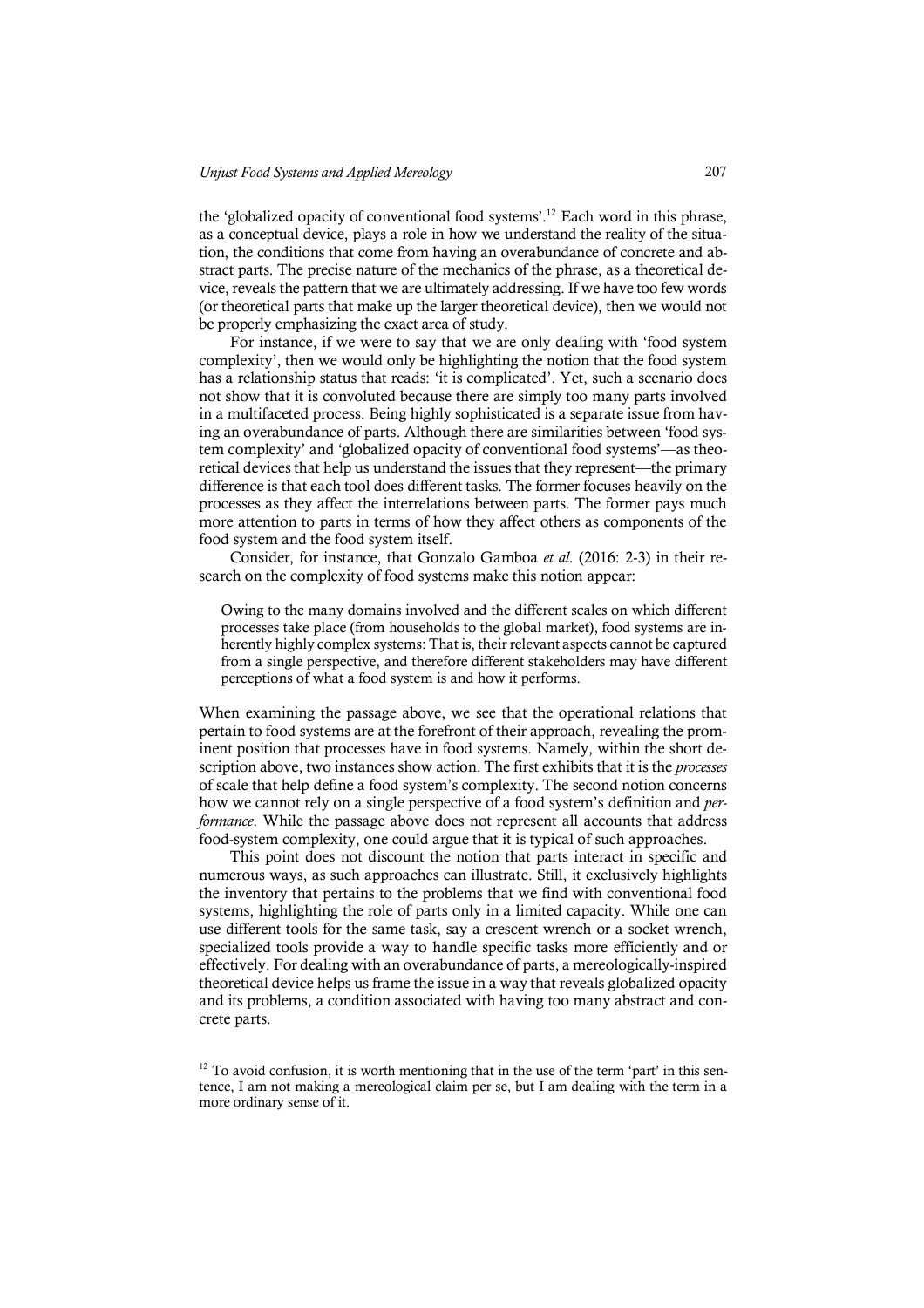the 'globalized opacity of conventional food systems'. <sup>12</sup> Each word in this phrase, as a conceptual device, plays a role in how we understand the reality of the situation, the conditions that come from having an overabundance of concrete and abstract parts. The precise nature of the mechanics of the phrase, as a theoretical device, reveals the pattern that we are ultimately addressing. If we have too few words (or theoretical parts that make up the larger theoretical device), then we would not be properly emphasizing the exact area of study.

For instance, if we were to say that we are only dealing with 'food system complexity', then we would only be highlighting the notion that the food system has a relationship status that reads: 'it is complicated'. Yet, such a scenario does not show that it is convoluted because there are simply too many parts involved in a multifaceted process. Being highly sophisticated is a separate issue from having an overabundance of parts. Although there are similarities between 'food system complexity' and 'globalized opacity of conventional food systems'—as theoretical devices that help us understand the issues that they represent—the primary difference is that each tool does different tasks. The former focuses heavily on the processes as they affect the interrelations between parts. The former pays much more attention to parts in terms of how they affect others as components of the food system and the food system itself.

Consider, for instance, that Gonzalo Gamboa *et al.* (2016: 2-3) in their research on the complexity of food systems make this notion appear:

Owing to the many domains involved and the different scales on which different processes take place (from households to the global market), food systems are inherently highly complex systems: That is, their relevant aspects cannot be captured from a single perspective, and therefore different stakeholders may have different perceptions of what a food system is and how it performs.

When examining the passage above, we see that the operational relations that pertain to food systems are at the forefront of their approach, revealing the prominent position that processes have in food systems. Namely, within the short description above, two instances show action. The first exhibits that it is the *processes*  of scale that help define a food system's complexity. The second notion concerns how we cannot rely on a single perspective of a food system's definition and *performance*. While the passage above does not represent all accounts that address food-system complexity, one could argue that it is typical of such approaches.

This point does not discount the notion that parts interact in specific and numerous ways, as such approaches can illustrate. Still, it exclusively highlights the inventory that pertains to the problems that we find with conventional food systems, highlighting the role of parts only in a limited capacity. While one can use different tools for the same task, say a crescent wrench or a socket wrench, specialized tools provide a way to handle specific tasks more efficiently and or effectively. For dealing with an overabundance of parts, a mereologically-inspired theoretical device helps us frame the issue in a way that reveals globalized opacity and its problems, a condition associated with having too many abstract and concrete parts.

 $12$  To avoid confusion, it is worth mentioning that in the use of the term 'part' in this sentence, I am not making a mereological claim per se, but I am dealing with the term in a more ordinary sense of it.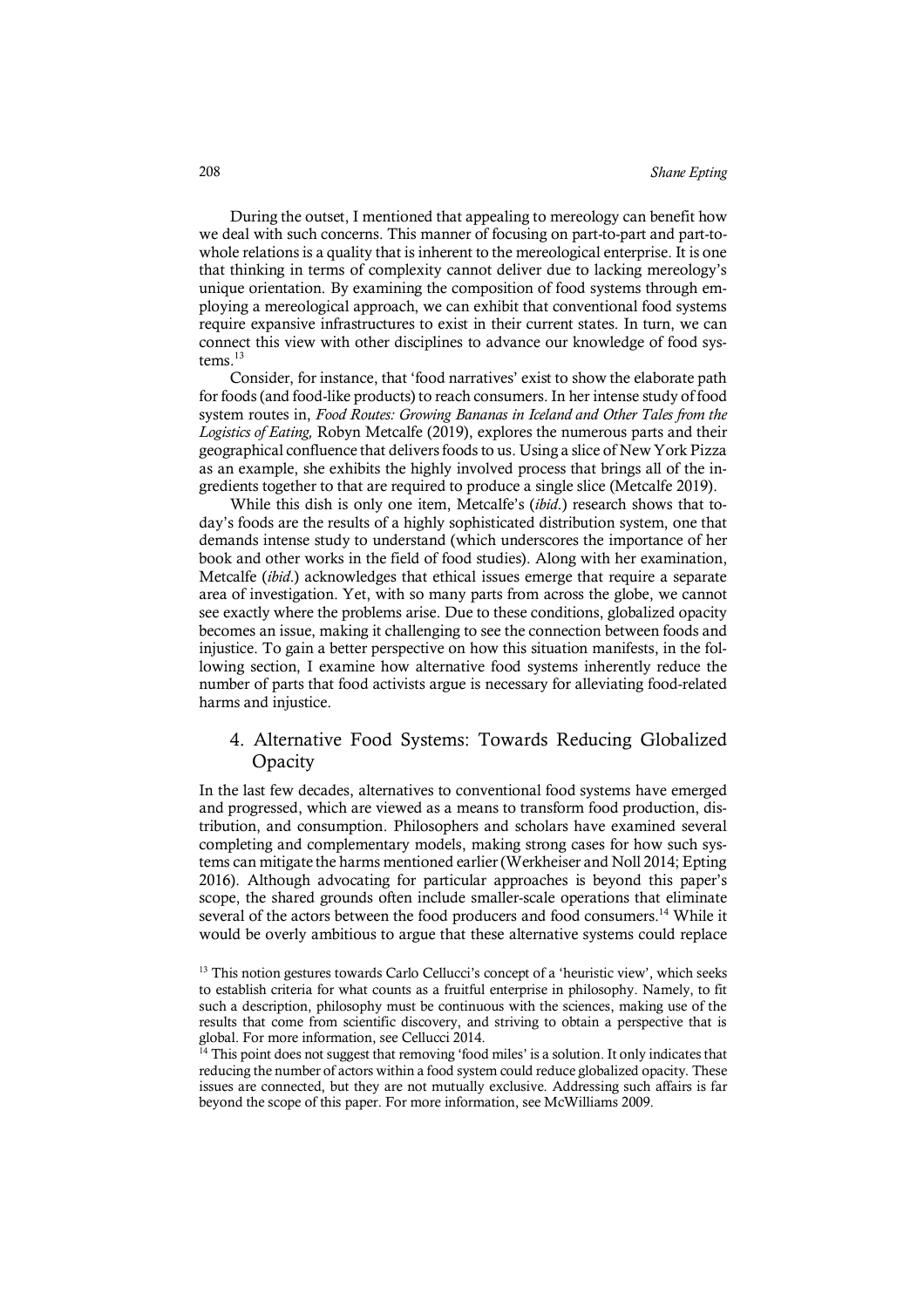During the outset, I mentioned that appealing to mereology can benefit how we deal with such concerns. This manner of focusing on part-to-part and part-towhole relations is a quality that is inherent to the mereological enterprise. It is one that thinking in terms of complexity cannot deliver due to lacking mereology's unique orientation. By examining the composition of food systems through employing a mereological approach, we can exhibit that conventional food systems require expansive infrastructures to exist in their current states. In turn, we can connect this view with other disciplines to advance our knowledge of food systems.<sup>13</sup>

Consider, for instance, that 'food narratives' exist to show the elaborate path for foods (and food-like products) to reach consumers. In her intense study of food system routes in, *Food Routes: Growing Bananas in Iceland and Other Tales from the Logistics of Eating,* Robyn Metcalfe (2019), explores the numerous parts and their geographical confluence that delivers foods to us. Using a slice of New York Pizza as an example, she exhibits the highly involved process that brings all of the ingredients together to that are required to produce a single slice (Metcalfe 2019).

While this dish is only one item, Metcalfe's (*ibid*.) research shows that today's foods are the results of a highly sophisticated distribution system, one that demands intense study to understand (which underscores the importance of her book and other works in the field of food studies). Along with her examination, Metcalfe (*ibid*.) acknowledges that ethical issues emerge that require a separate area of investigation. Yet, with so many parts from across the globe, we cannot see exactly where the problems arise. Due to these conditions, globalized opacity becomes an issue, making it challenging to see the connection between foods and injustice. To gain a better perspective on how this situation manifests, in the following section, I examine how alternative food systems inherently reduce the number of parts that food activists argue is necessary for alleviating food-related harms and injustice.

# 4. Alternative Food Systems: Towards Reducing Globalized **Opacity**

In the last few decades, alternatives to conventional food systems have emerged and progressed, which are viewed as a means to transform food production, distribution, and consumption. Philosophers and scholars have examined several completing and complementary models, making strong cases for how such systems can mitigate the harms mentioned earlier (Werkheiser and Noll 2014; Epting 2016). Although advocating for particular approaches is beyond this paper's scope, the shared grounds often include smaller-scale operations that eliminate several of the actors between the food producers and food consumers.<sup>14</sup> While it would be overly ambitious to argue that these alternative systems could replace

<sup>&</sup>lt;sup>13</sup> This notion gestures towards Carlo Cellucci's concept of a 'heuristic view', which seeks to establish criteria for what counts as a fruitful enterprise in philosophy. Namely, to fit such a description, philosophy must be continuous with the sciences, making use of the results that come from scientific discovery, and striving to obtain a perspective that is global. For more information, see Cellucci 2014.

 $14$  This point does not suggest that removing 'food miles' is a solution. It only indicates that reducing the number of actors within a food system could reduce globalized opacity. These issues are connected, but they are not mutually exclusive. Addressing such affairs is far beyond the scope of this paper. For more information, see McWilliams 2009.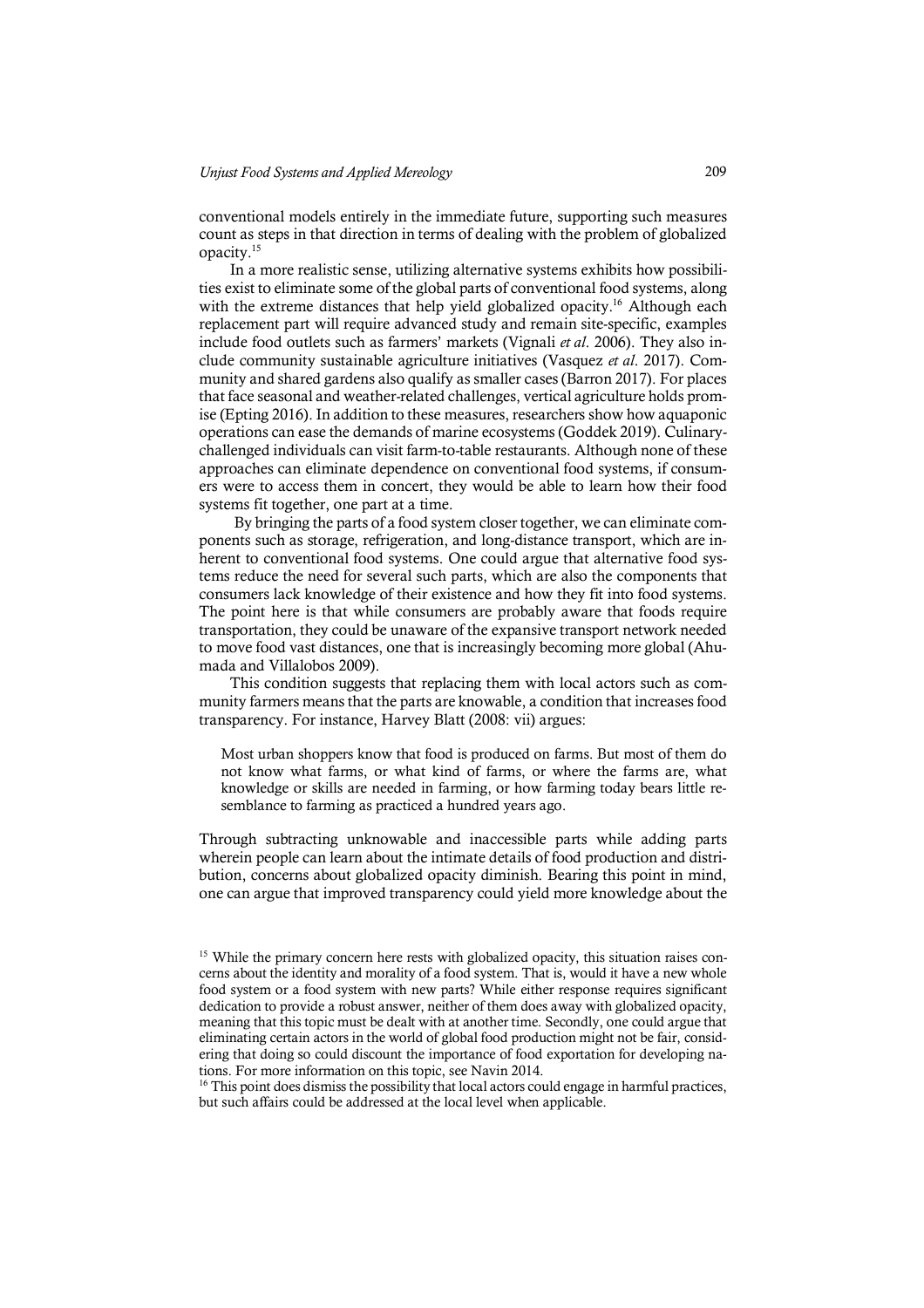conventional models entirely in the immediate future, supporting such measures count as steps in that direction in terms of dealing with the problem of globalized opacity.15

In a more realistic sense, utilizing alternative systems exhibits how possibilities exist to eliminate some of the global parts of conventional food systems, along with the extreme distances that help yield globalized opacity.<sup>16</sup> Although each replacement part will require advanced study and remain site-specific, examples include food outlets such as farmers' markets (Vignali *et al*. 2006). They also include community sustainable agriculture initiatives (Vasquez *et al*. 2017). Community and shared gardens also qualify as smaller cases (Barron 2017). For places that face seasonal and weather-related challenges, vertical agriculture holds promise (Epting 2016). In addition to these measures, researchers show how aquaponic operations can ease the demands of marine ecosystems (Goddek 2019). Culinarychallenged individuals can visit farm-to-table restaurants. Although none of these approaches can eliminate dependence on conventional food systems, if consumers were to access them in concert, they would be able to learn how their food systems fit together, one part at a time.

By bringing the parts of a food system closer together, we can eliminate components such as storage, refrigeration, and long-distance transport, which are inherent to conventional food systems. One could argue that alternative food systems reduce the need for several such parts, which are also the components that consumers lack knowledge of their existence and how they fit into food systems. The point here is that while consumers are probably aware that foods require transportation, they could be unaware of the expansive transport network needed to move food vast distances, one that is increasingly becoming more global (Ahumada and Villalobos 2009).

This condition suggests that replacing them with local actors such as community farmers means that the parts are knowable, a condition that increases food transparency. For instance, Harvey Blatt (2008: vii) argues:

Most urban shoppers know that food is produced on farms. But most of them do not know what farms, or what kind of farms, or where the farms are, what knowledge or skills are needed in farming, or how farming today bears little resemblance to farming as practiced a hundred years ago.

Through subtracting unknowable and inaccessible parts while adding parts wherein people can learn about the intimate details of food production and distribution, concerns about globalized opacity diminish. Bearing this point in mind, one can argue that improved transparency could yield more knowledge about the

 $16$  This point does dismiss the possibility that local actors could engage in harmful practices, but such affairs could be addressed at the local level when applicable.

<sup>&</sup>lt;sup>15</sup> While the primary concern here rests with globalized opacity, this situation raises concerns about the identity and morality of a food system. That is, would it have a new whole food system or a food system with new parts? While either response requires significant dedication to provide a robust answer, neither of them does away with globalized opacity, meaning that this topic must be dealt with at another time. Secondly, one could argue that eliminating certain actors in the world of global food production might not be fair, considering that doing so could discount the importance of food exportation for developing nations. For more information on this topic, see Navin 2014.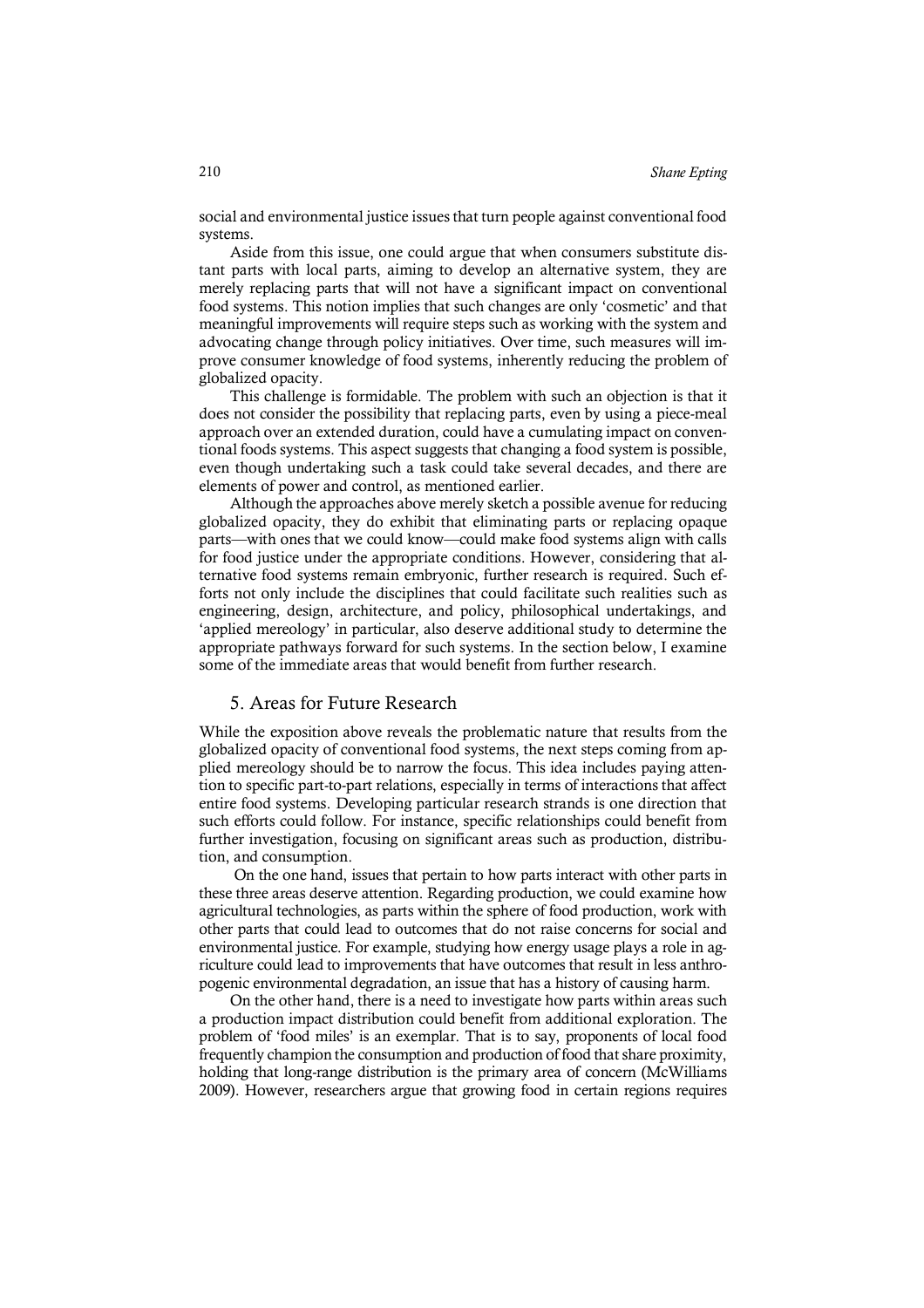social and environmental justice issues that turn people against conventional food systems.

Aside from this issue, one could argue that when consumers substitute distant parts with local parts, aiming to develop an alternative system, they are merely replacing parts that will not have a significant impact on conventional food systems. This notion implies that such changes are only 'cosmetic' and that meaningful improvements will require steps such as working with the system and advocating change through policy initiatives. Over time, such measures will improve consumer knowledge of food systems, inherently reducing the problem of globalized opacity.

This challenge is formidable. The problem with such an objection is that it does not consider the possibility that replacing parts, even by using a piece-meal approach over an extended duration, could have a cumulating impact on conventional foods systems. This aspect suggests that changing a food system is possible, even though undertaking such a task could take several decades, and there are elements of power and control, as mentioned earlier.

Although the approaches above merely sketch a possible avenue for reducing globalized opacity, they do exhibit that eliminating parts or replacing opaque parts—with ones that we could know—could make food systems align with calls for food justice under the appropriate conditions. However, considering that alternative food systems remain embryonic, further research is required. Such efforts not only include the disciplines that could facilitate such realities such as engineering, design, architecture, and policy, philosophical undertakings, and 'applied mereology' in particular, also deserve additional study to determine the appropriate pathways forward for such systems. In the section below, I examine some of the immediate areas that would benefit from further research.

#### 5. Areas for Future Research

While the exposition above reveals the problematic nature that results from the globalized opacity of conventional food systems, the next steps coming from applied mereology should be to narrow the focus. This idea includes paying attention to specific part-to-part relations, especially in terms of interactions that affect entire food systems. Developing particular research strands is one direction that such efforts could follow. For instance, specific relationships could benefit from further investigation, focusing on significant areas such as production, distribution, and consumption.

On the one hand, issues that pertain to how parts interact with other parts in these three areas deserve attention. Regarding production, we could examine how agricultural technologies, as parts within the sphere of food production, work with other parts that could lead to outcomes that do not raise concerns for social and environmental justice. For example, studying how energy usage plays a role in agriculture could lead to improvements that have outcomes that result in less anthropogenic environmental degradation, an issue that has a history of causing harm.

On the other hand, there is a need to investigate how parts within areas such a production impact distribution could benefit from additional exploration. The problem of 'food miles' is an exemplar. That is to say, proponents of local food frequently champion the consumption and production of food that share proximity, holding that long-range distribution is the primary area of concern (McWilliams 2009). However, researchers argue that growing food in certain regions requires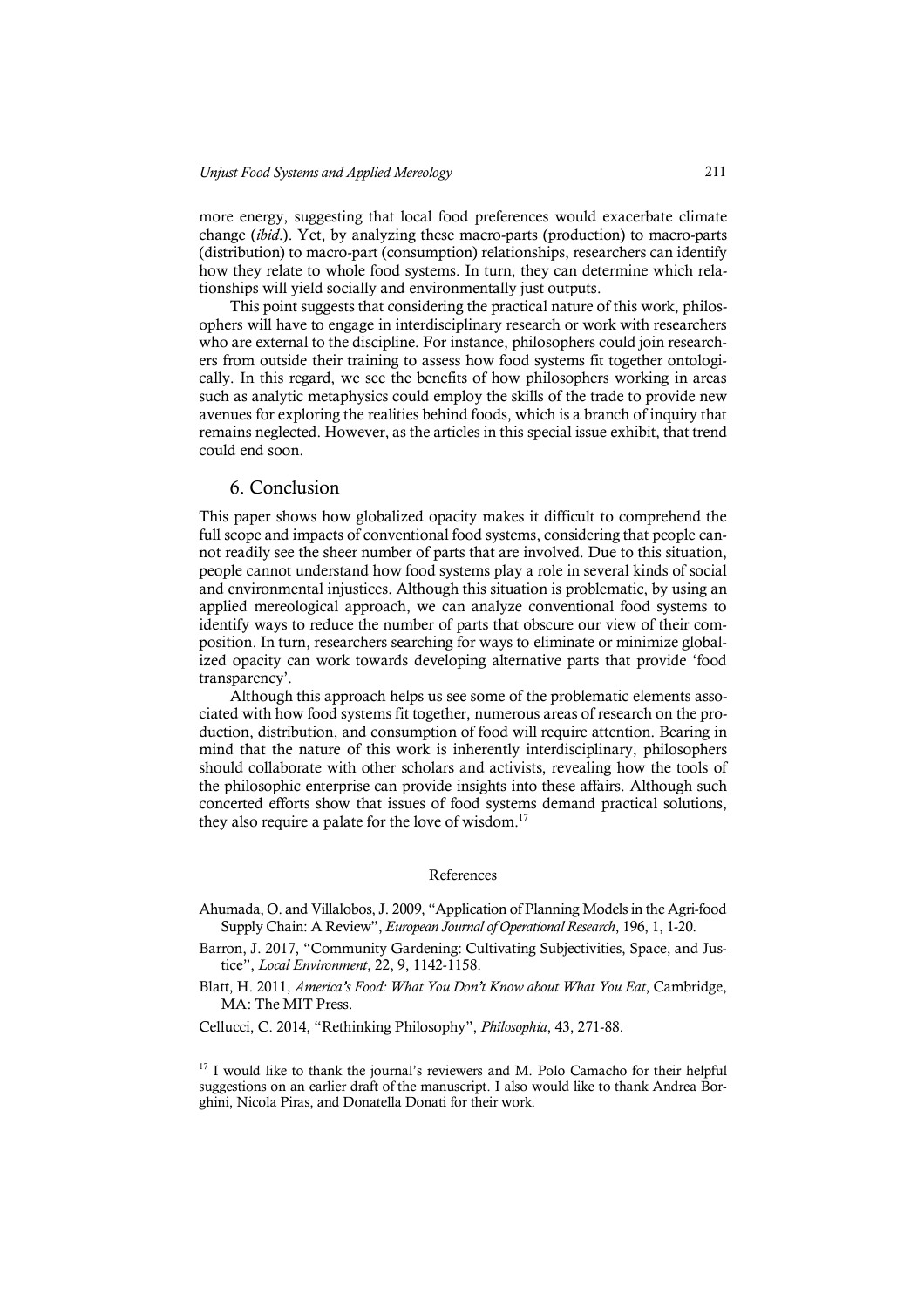more energy, suggesting that local food preferences would exacerbate climate change (*ibid*.). Yet, by analyzing these macro-parts (production) to macro-parts (distribution) to macro-part (consumption) relationships, researchers can identify how they relate to whole food systems. In turn, they can determine which relationships will yield socially and environmentally just outputs.

This point suggests that considering the practical nature of this work, philosophers will have to engage in interdisciplinary research or work with researchers who are external to the discipline. For instance, philosophers could join researchers from outside their training to assess how food systems fit together ontologically. In this regard, we see the benefits of how philosophers working in areas such as analytic metaphysics could employ the skills of the trade to provide new avenues for exploring the realities behind foods, which is a branch of inquiry that remains neglected. However, as the articles in this special issue exhibit, that trend could end soon.

#### 6. Conclusion

This paper shows how globalized opacity makes it difficult to comprehend the full scope and impacts of conventional food systems, considering that people cannot readily see the sheer number of parts that are involved. Due to this situation, people cannot understand how food systems play a role in several kinds of social and environmental injustices. Although this situation is problematic, by using an applied mereological approach, we can analyze conventional food systems to identify ways to reduce the number of parts that obscure our view of their composition. In turn, researchers searching for ways to eliminate or minimize globalized opacity can work towards developing alternative parts that provide 'food transparency'.

Although this approach helps us see some of the problematic elements associated with how food systems fit together, numerous areas of research on the production, distribution, and consumption of food will require attention. Bearing in mind that the nature of this work is inherently interdisciplinary, philosophers should collaborate with other scholars and activists, revealing how the tools of the philosophic enterprise can provide insights into these affairs. Although such concerted efforts show that issues of food systems demand practical solutions, they also require a palate for the love of wisdom.<sup>17</sup>

#### References

- Ahumada, O. and Villalobos, J. 2009, "Application of Planning Models in the Agri-food Supply Chain: A Review", *European Journal of Operational Research*, 196, 1, 1-20.
- Barron, J. 2017, "Community Gardening: Cultivating Subjectivities, Space, and Justice", *Local Environment*, 22, 9, 1142-1158.
- Blatt, H. 2011, *America's Food: What You Don't Know about What You Eat*, Cambridge, MA: The MIT Press.

Cellucci, C. 2014, "Rethinking Philosophy", *Philosophia*, 43, 271-88.

<sup>17</sup> I would like to thank the journal's reviewers and M. Polo Camacho for their helpful suggestions on an earlier draft of the manuscript. I also would like to thank Andrea Borghini, Nicola Piras, and Donatella Donati for their work.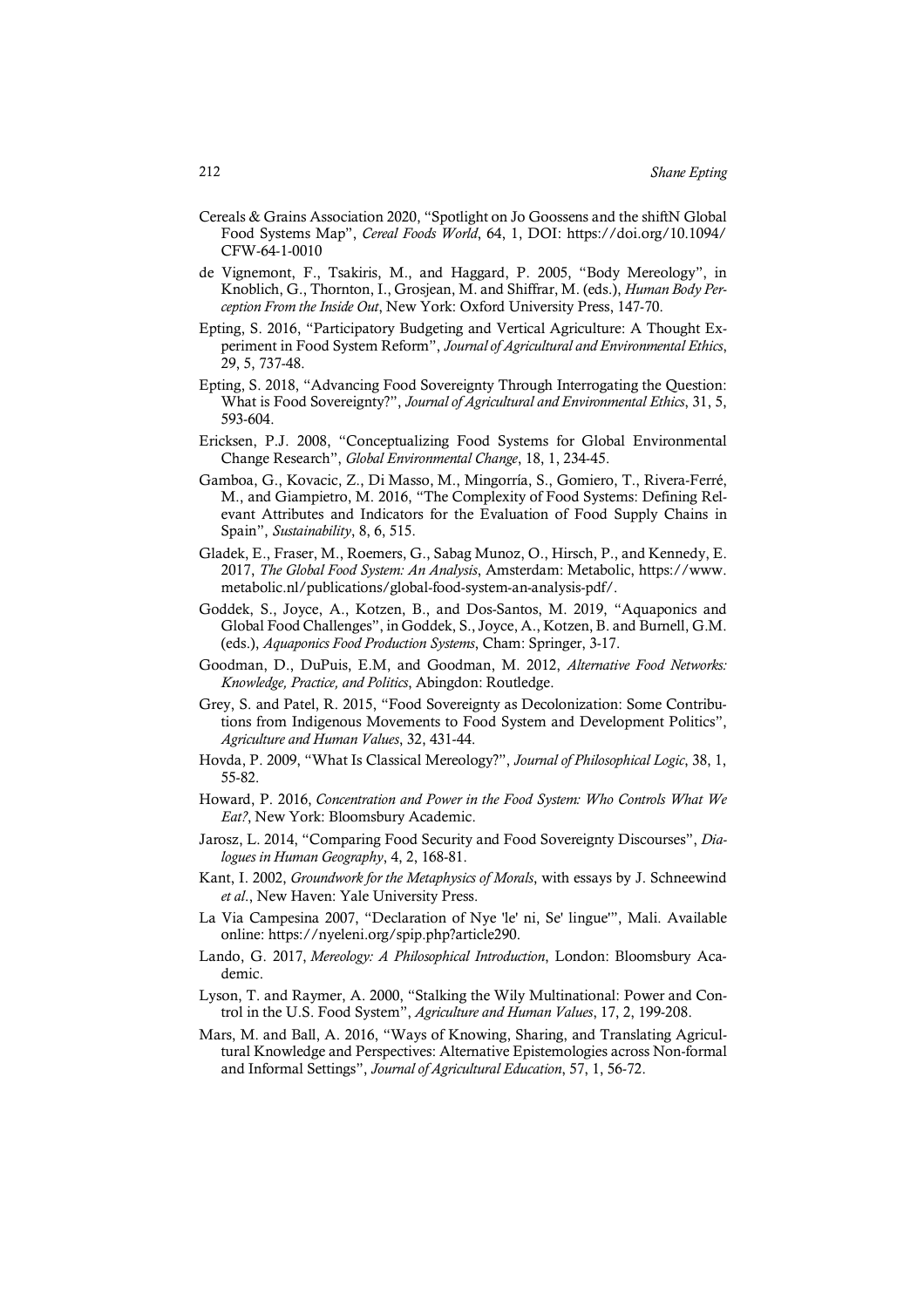- Cereals & Grains Association 2020, "Spotlight on Jo Goossens and the shiftN Global Food Systems Map", *Cereal Foods World*, 64, 1, DOI: https://doi.org/10.1094/ CFW-64-1-0010
- de Vignemont, F., Tsakiris, M., and Haggard, P. 2005, "Body Mereology", in Knoblich, G., Thornton, I., Grosjean, M. and Shiffrar, M. (eds.), *Human Body Perception From the Inside Out*, New York: Oxford University Press, 147-70.
- Epting, S. 2016, "Participatory Budgeting and Vertical Agriculture: A Thought Experiment in Food System Reform", *Journal of Agricultural and Environmental Ethics*, 29, 5, 737-48.
- Epting, S. 2018, "Advancing Food Sovereignty Through Interrogating the Question: What is Food Sovereignty?", *Journal of Agricultural and Environmental Ethics*, 31, 5, 593-604.
- Ericksen, P.J. 2008, "Conceptualizing Food Systems for Global Environmental Change Research", *Global Environmental Change*, 18, 1, 234-45.
- Gamboa, G., Kovacic, Z., Di Masso, M., Mingorría, S., Gomiero, T., Rivera-Ferré, M., and Giampietro, M. 2016, "The Complexity of Food Systems: Defining Relevant Attributes and Indicators for the Evaluation of Food Supply Chains in Spain", *Sustainability*, 8, 6, 515.
- Gladek, E., Fraser, M., Roemers, G., Sabag Munoz, O., Hirsch, P., and Kennedy, E. 2017, *The Global Food System: An Analysis*, Amsterdam: Metabolic, https://www. metabolic.nl/publications/global-food-system-an-analysis-pdf/.
- Goddek, S., Joyce, A., Kotzen, B., and Dos-Santos, M. 2019, "Aquaponics and Global Food Challenges", in Goddek, S., Joyce, A., Kotzen, B. and Burnell, G.M. (eds.), *Aquaponics Food Production Systems*, Cham: Springer, 3-17.
- Goodman, D., DuPuis, E.M, and Goodman, M. 2012, *Alternative Food Networks: Knowledge, Practice, and Politics*, Abingdon: Routledge.
- Grey, S. and Patel, R. 2015, "Food Sovereignty as Decolonization: Some Contributions from Indigenous Movements to Food System and Development Politics", *Agriculture and Human Values*, 32, 431-44.
- Hovda, P. 2009, "What Is Classical Mereology?", *Journal of Philosophical Logic*, 38, 1, 55-82.
- Howard, P. 2016, *Concentration and Power in the Food System: Who Controls What We Eat?*, New York: Bloomsbury Academic.
- Jarosz, L. 2014, "Comparing Food Security and Food Sovereignty Discourses", *Dialogues in Human Geography*, 4, 2, 168-81.
- Kant, I. 2002, *Groundwork for the Metaphysics of Morals*, with essays by J. Schneewind *et al*., New Haven: Yale University Press.
- La Via Campesina 2007, "Declaration of Nye 'le' ni, Se' lingue'", Mali. Available online: https://nyeleni.org/spip.php?article290.
- Lando, G. 2017, *Mereology: A Philosophical Introduction*, London: Bloomsbury Academic.
- Lyson, T. and Raymer, A. 2000, "Stalking the Wily Multinational: Power and Control in the U.S. Food System", *Agriculture and Human Values*, 17, 2, 199-208.
- Mars, M. and Ball, A. 2016, "Ways of Knowing, Sharing, and Translating Agricultural Knowledge and Perspectives: Alternative Epistemologies across Non-formal and Informal Settings", *Journal of Agricultural Education*, 57, 1, 56-72.